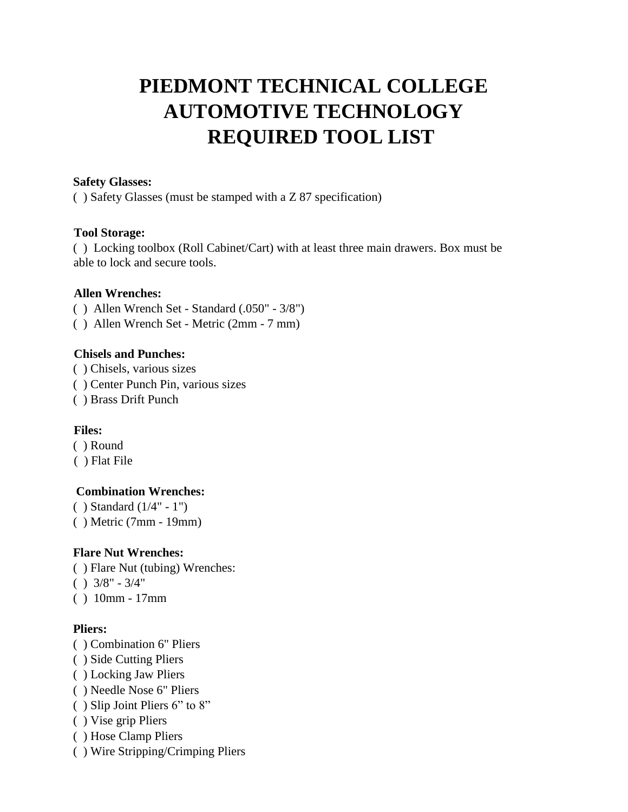# **PIEDMONT TECHNICAL COLLEGE AUTOMOTIVE TECHNOLOGY REQUIRED TOOL LIST**

#### **Safety Glasses:**

( ) Safety Glasses (must be stamped with a Z 87 specification)

#### **Tool Storage:**

( ) Locking toolbox (Roll Cabinet/Cart) with at least three main drawers. Box must be able to lock and secure tools.

#### **Allen Wrenches:**

- ( ) Allen Wrench Set Standard (.050" 3/8")
- ( ) Allen Wrench Set Metric (2mm 7 mm)

#### **Chisels and Punches:**

- ( ) Chisels, various sizes
- ( ) Center Punch Pin, various sizes
- ( ) Brass Drift Punch

## **Files:**

- ( ) Round
- ( ) Flat File

#### **Combination Wrenches:**

( ) Standard (1/4" - 1") ( ) Metric (7mm - 19mm)

## **Flare Nut Wrenches:**

- ( ) Flare Nut (tubing) Wrenches:
- $( ) 3/8" 3/4"$
- ( ) 10mm 17mm

## **Pliers:**

- ( ) Combination 6" Pliers
- ( ) Side Cutting Pliers
- ( ) Locking Jaw Pliers
- ( ) Needle Nose 6" Pliers
- ( ) Slip Joint Pliers 6" to 8"
- ( ) Vise grip Pliers
- ( ) Hose Clamp Pliers
- ( ) Wire Stripping/Crimping Pliers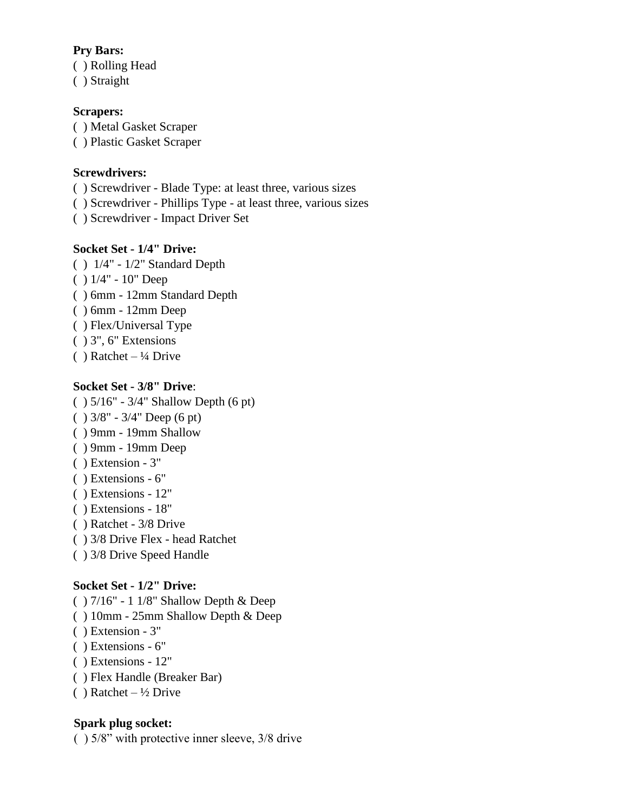#### **Pry Bars:**

( ) Rolling Head

( ) Straight

# **Scrapers:**

( ) Metal Gasket Scraper

( ) Plastic Gasket Scraper

## **Screwdrivers:**

( ) Screwdriver - Blade Type: at least three, various sizes

( ) Screwdriver - Phillips Type - at least three, various sizes

( ) Screwdriver - Impact Driver Set

# **Socket Set - 1/4" Drive:**

( ) 1/4" - 1/2" Standard Depth ( ) 1/4" - 10" Deep ( ) 6mm - 12mm Standard Depth ( ) 6mm - 12mm Deep ( ) Flex/Universal Type ( ) 3", 6" Extensions  $( )$  Ratchet – ¼ Drive

# **Socket Set - 3/8" Drive**:

- ( ) 5/16" 3/4" Shallow Depth (6 pt)
- $( ) 3/8" 3/4"$  Deep (6 pt)
- ( ) 9mm 19mm Shallow
- ( ) 9mm 19mm Deep
- ( ) Extension 3"
- ( ) Extensions 6"
- ( ) Extensions 12"
- ( ) Extensions 18"
- ( ) Ratchet 3/8 Drive
- ( ) 3/8 Drive Flex head Ratchet
- ( ) 3/8 Drive Speed Handle

# **Socket Set - 1/2" Drive:**

- ( ) 7/16" 1 1/8" Shallow Depth & Deep
- ( ) 10mm 25mm Shallow Depth & Deep
- ( ) Extension 3"
- ( ) Extensions 6"
- ( ) Extensions 12"
- ( ) Flex Handle (Breaker Bar)
- ( ) Ratchet  $\frac{1}{2}$  Drive

# **Spark plug socket:**

( ) 5/8" with protective inner sleeve, 3/8 drive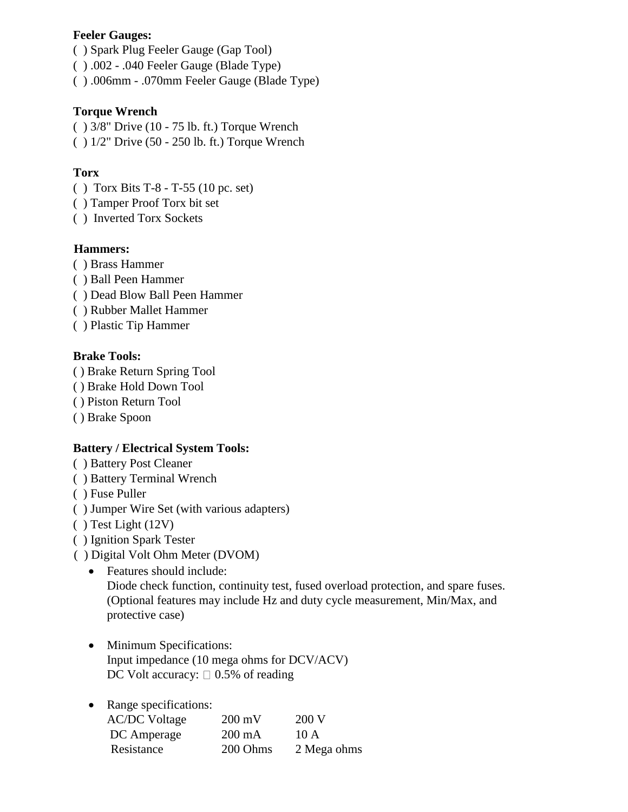#### **Feeler Gauges:**

- ( ) Spark Plug Feeler Gauge (Gap Tool)
- ( ) .002 .040 Feeler Gauge (Blade Type)
- ( ) .006mm .070mm Feeler Gauge (Blade Type)

## **Torque Wrench**

- $( ) 3/8"$  Drive  $(10 75 \text{ lb. ft.})$  Torque Wrench
- ( ) 1/2" Drive (50 250 lb. ft.) Torque Wrench

## **Torx**

- ( ) Torx Bits T-8 T-55 (10 pc. set)
- ( ) Tamper Proof Torx bit set
- ( ) Inverted Torx Sockets

# **Hammers:**

- ( ) Brass Hammer
- ( ) Ball Peen Hammer
- ( ) Dead Blow Ball Peen Hammer
- ( ) Rubber Mallet Hammer
- ( ) Plastic Tip Hammer

## **Brake Tools:**

- ( ) Brake Return Spring Tool
- ( ) Brake Hold Down Tool
- ( ) Piston Return Tool
- ( ) Brake Spoon

# **Battery / Electrical System Tools:**

- ( ) Battery Post Cleaner
- ( ) Battery Terminal Wrench
- ( ) Fuse Puller
- ( ) Jumper Wire Set (with various adapters)
- ( ) Test Light (12V)
- ( ) Ignition Spark Tester
- ( ) Digital Volt Ohm Meter (DVOM)
	- Features should include: Diode check function, continuity test, fused overload protection, and spare fuses. (Optional features may include Hz and duty cycle measurement, Min/Max, and protective case)
	- Minimum Specifications: Input impedance (10 mega ohms for DCV/ACV) DC Volt accuracy:  $\Box$  0.5% of reading

# • Range specifications:

| <b>AC/DC</b> Voltage | $200 \text{ mV}$ | 200 V       |
|----------------------|------------------|-------------|
| DC Amperage          | $200 \text{ mA}$ | 10A         |
| Resistance           | 200 Ohms         | 2 Mega ohms |